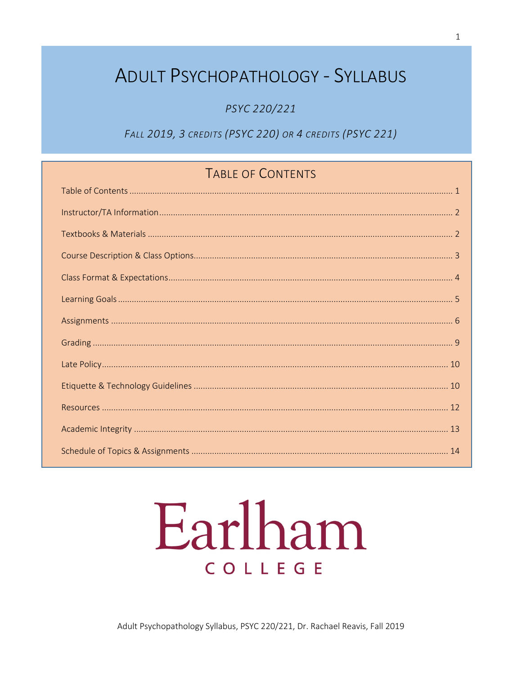# **ADULT PSYCHOPATHOLOGY - SYLLABUS**

PSYC 220/221

FALL 2019, 3 CREDITS (PSYC 220) OR 4 CREDITS (PSYC 221)

# TABLE OF CONTENTS

# Earlham COLLEGE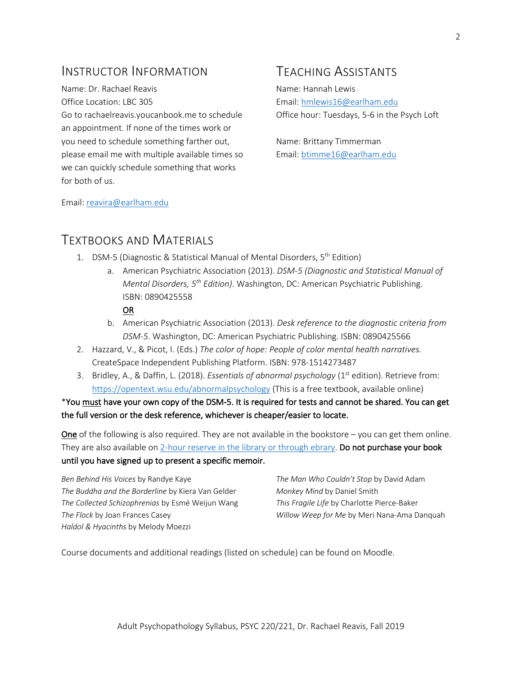# INSTRUCTOR INFORMATION

Name: Dr. Rachael Reavis Office Location: LBC 305 Go to rachaelreavis.youcanbook.me to schedule

an appointment. If none of the times work or you need to schedule something farther out, please email me with multiple available times so we can quickly schedule something that works for both of us.

# TEACHING ASSISTANTS

Name: Hannah Lewis Email: hmlewis16@earlham.edu Office hour: Tuesdays, 5-6 in the Psych Loft

Name: Brittany Timmerman Email: btimme16@earlham.edu

Email: reavira@earlham.edu

# TEXTBOOKS AND MATERIALS

- 1. DSM-5 (Diagnostic & Statistical Manual of Mental Disorders, 5<sup>th</sup> Edition)
	- a. American Psychiatric Association (2013). *DSM-5 (Diagnostic and Statistical Manual of Mental Disorders, 5th Edition)*. Washington, DC: American Psychiatric Publishing. ISBN: 0890425558

#### OR

- b. American Psychiatric Association (2013). *Desk reference to the diagnostic criteria from DSM-5*. Washington, DC: American Psychiatric Publishing. ISBN: 0890425566
- 2. Hazzard, V., & Picot, I. (Eds.) *The color of hope: People of color mental health narratives.* CreateSpace Independent Publishing Platform. ISBN: 978-1514273487
- 3. Bridley, A., & Daffin, L. (2018). *Essentials of abnormal psychology* (1st edition). Retrieve from: https://opentext.wsu.edu/abnormalpsychology (This is a free textbook, available online)

\*You must have your own copy of the DSM-5. It is required for tests and cannot be shared. You can get the full version or the desk reference, whichever is cheaper/easier to locate.

One of the following is also required. They are not available in the bookstore – you can get them online. They are also available on 2-hour reserve in the library or through ebrary. Do not purchase your book until you have signed up to present a specific memoir.

*Ben Behind His Voices* by Randye Kaye *The Buddha and the Borderline* by Kiera Van Gelder *The Collected Schizophrenias* by Esmé Weijun Wang *The Flock* by Joan Frances Casey *Haldol & Hyacinths* by Melody Moezzi

*The Man Who Couldn't Stop* by David Adam *Monkey Mind* by Daniel Smith *This Fragile Life* by Charlotte Pierce-Baker *Willow Weep for Me* by Meri Nana-Ama Danquah

Course documents and additional readings (listed on schedule) can be found on Moodle.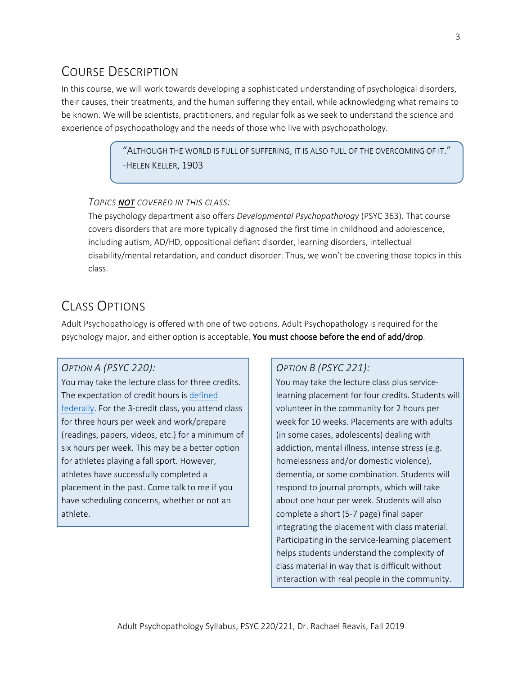# COURSE DESCRIPTION

In this course, we will work towards developing a sophisticated understanding of psychological disorders, their causes, their treatments, and the human suffering they entail, while acknowledging what remains to be known. We will be scientists, practitioners, and regular folk as we seek to understand the science and experience of psychopathology and the needs of those who live with psychopathology.

> $\lq$ ALTHOUGH THE WORLD IS FULL OF SUFFERING, IT IS ALSO FULL OF THE OVERCOMING OF IT. $\rlap{.}''$ -HELEN KELLER, 1903

#### *TOPICS NOT COVERED IN THIS CLASS:*

The psychology department also offers *Developmental Psychopathology* (PSYC 363). That course covers disorders that are more typically diagnosed the first time in childhood and adolescence, including autism, AD/HD, oppositional defiant disorder, learning disorders, intellectual disability/mental retardation, and conduct disorder. Thus, we won't be covering those topics in this class.

# CLASS OPTIONS

Adult Psychopathology is offered with one of two options. Adult Psychopathology is required for the psychology major, and either option is acceptable. You must choose before the end of add/drop.

## *OPTION A (PSYC 220):*

You may take the lecture class for three credits. The expectation of credit hours is defined federally. For the 3-credit class, you attend class for three hours per week and work/prepare (readings, papers, videos, etc.) for a minimum of six hours per week. This may be a better option for athletes playing a fall sport. However, athletes have successfully completed a placement in the past. Come talk to me if you have scheduling concerns, whether or not an athlete.

## *OPTION B (PSYC 221):*

You may take the lecture class plus servicelearning placement for four credits. Students will volunteer in the community for 2 hours per week for 10 weeks. Placements are with adults (in some cases, adolescents) dealing with addiction, mental illness, intense stress (e.g. homelessness and/or domestic violence), dementia, or some combination. Students will respond to journal prompts, which will take about one hour per week. Students will also complete a short (5-7 page) final paper integrating the placement with class material. Participating in the service-learning placement helps students understand the complexity of class material in way that is difficult without interaction with real people in the community.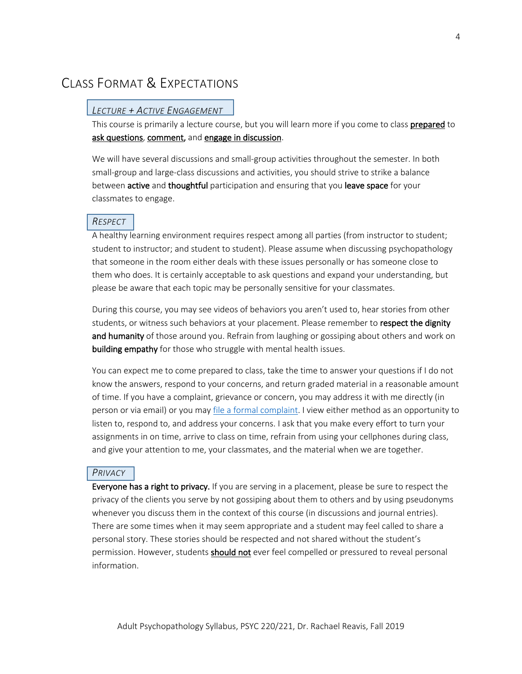# CLASS FORMAT & EXPECTATIONS

### *LECTURE + ACTIVE ENGAGEMENT*

This course is primarily a lecture course, but you will learn more if you come to class prepared to ask questions, comment, and engage in discussion.

We will have several discussions and small-group activities throughout the semester. In both small-group and large-class discussions and activities, you should strive to strike a balance between active and thoughtful participation and ensuring that you leave space for your classmates to engage.

### *RESPECT*

A healthy learning environment requires respect among all parties (from instructor to student; student to instructor; and student to student). Please assume when discussing psychopathology that someone in the room either deals with these issues personally or has someone close to them who does. It is certainly acceptable to ask questions and expand your understanding, but please be aware that each topic may be personally sensitive for your classmates.

During this course, you may see videos of behaviors you aren't used to, hear stories from other students, or witness such behaviors at your placement. Please remember to respect the dignity and humanity of those around you. Refrain from laughing or gossiping about others and work on building empathy for those who struggle with mental health issues.

You can expect me to come prepared to class, take the time to answer your questions if I do not know the answers, respond to your concerns, and return graded material in a reasonable amount of time. If you have a complaint, grievance or concern, you may address it with me directly (in person or via email) or you may file a formal complaint. I view either method as an opportunity to listen to, respond to, and address your concerns. I ask that you make every effort to turn your assignments in on time, arrive to class on time, refrain from using your cellphones during class, and give your attention to me, your classmates, and the material when we are together.

#### *PRIVACY*

Everyone has a right to privacy. If you are serving in a placement, please be sure to respect the privacy of the clients you serve by not gossiping about them to others and by using pseudonyms whenever you discuss them in the context of this course (in discussions and journal entries). There are some times when it may seem appropriate and a student may feel called to share a personal story. These stories should be respected and not shared without the student's permission. However, students should not ever feel compelled or pressured to reveal personal information.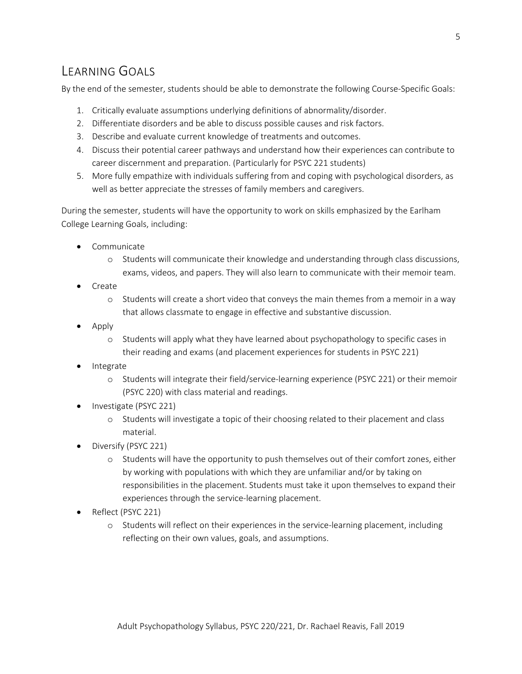# LEARNING GOALS

By the end of the semester, students should be able to demonstrate the following Course-Specific Goals:

- 1. Critically evaluate assumptions underlying definitions of abnormality/disorder.
- 2. Differentiate disorders and be able to discuss possible causes and risk factors.
- 3. Describe and evaluate current knowledge of treatments and outcomes.
- 4. Discuss their potential career pathways and understand how their experiences can contribute to career discernment and preparation. (Particularly for PSYC 221 students)
- 5. More fully empathize with individuals suffering from and coping with psychological disorders, as well as better appreciate the stresses of family members and caregivers.

During the semester, students will have the opportunity to work on skills emphasized by the Earlham College Learning Goals, including:

- Communicate
	- o Students will communicate their knowledge and understanding through class discussions, exams, videos, and papers. They will also learn to communicate with their memoir team.
- Create
	- o Students will create a short video that conveys the main themes from a memoir in a way that allows classmate to engage in effective and substantive discussion.
- Apply
	- o Students will apply what they have learned about psychopathology to specific cases in their reading and exams (and placement experiences for students in PSYC 221)
- **Integrate** 
	- o Students will integrate their field/service-learning experience (PSYC 221) or their memoir (PSYC 220) with class material and readings.
- Investigate (PSYC 221)
	- o Students will investigate a topic of their choosing related to their placement and class material.
- Diversify (PSYC 221)
	- o Students will have the opportunity to push themselves out of their comfort zones, either by working with populations with which they are unfamiliar and/or by taking on responsibilities in the placement. Students must take it upon themselves to expand their experiences through the service-learning placement.
- Reflect (PSYC 221)
	- o Students will reflect on their experiences in the service-learning placement, including reflecting on their own values, goals, and assumptions.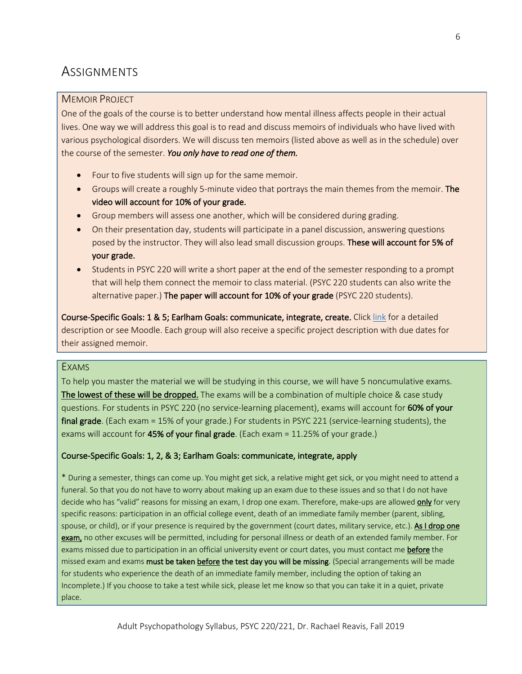# **ASSIGNMENTS**

#### MEMOIR PROJECT

One of the goals of the course is to better understand how mental illness affects people in their actual lives. One way we will address this goal is to read and discuss memoirs of individuals who have lived with various psychological disorders. We will discuss ten memoirs (listed above as well as in the schedule) over the course of the semester. *You only have to read one of them.*

- Four to five students will sign up for the same memoir.
- Groups will create a roughly 5-minute video that portrays the main themes from the memoir. The video will account for 10% of your grade.
- Group members will assess one another, which will be considered during grading.
- On their presentation day, students will participate in a panel discussion, answering questions posed by the instructor. They will also lead small discussion groups. These will account for 5% of your grade.
- Students in PSYC 220 will write a short paper at the end of the semester responding to a prompt that will help them connect the memoir to class material. (PSYC 220 students can also write the alternative paper.) The paper will account for 10% of your grade (PSYC 220 students).

Course-Specific Goals: 1 & 5; Earlham Goals: communicate, integrate, create. Click link for a detailed description or see Moodle. Each group will also receive a specific project description with due dates for their assigned memoir.

#### EXAMS

To help you master the material we will be studying in this course, we will have 5 noncumulative exams. The lowest of these will be dropped. The exams will be a combination of multiple choice & case study questions. For students in PSYC 220 (no service-learning placement), exams will account for 60% of your final grade. (Each exam = 15% of your grade.) For students in PSYC 221 (service-learning students), the exams will account for 45% of your final grade. (Each exam = 11.25% of your grade.)

#### Course-Specific Goals: 1, 2, & 3; Earlham Goals: communicate, integrate, apply

\* During a semester, things can come up. You might get sick, a relative might get sick, or you might need to attend a funeral. So that you do not have to worry about making up an exam due to these issues and so that I do not have decide who has "valid" reasons for missing an exam, I drop one exam. Therefore, make-ups are allowed only for very specific reasons: participation in an official college event, death of an immediate family member (parent, sibling, spouse, or child), or if your presence is required by the government (court dates, military service, etc.). As I drop one exam, no other excuses will be permitted, including for personal illness or death of an extended family member. For exams missed due to participation in an official university event or court dates, you must contact me before the missed exam and exams must be taken before the test day you will be missing. (Special arrangements will be made for students who experience the death of an immediate family member, including the option of taking an Incomplete.) If you choose to take a test while sick, please let me know so that you can take it in a quiet, private place.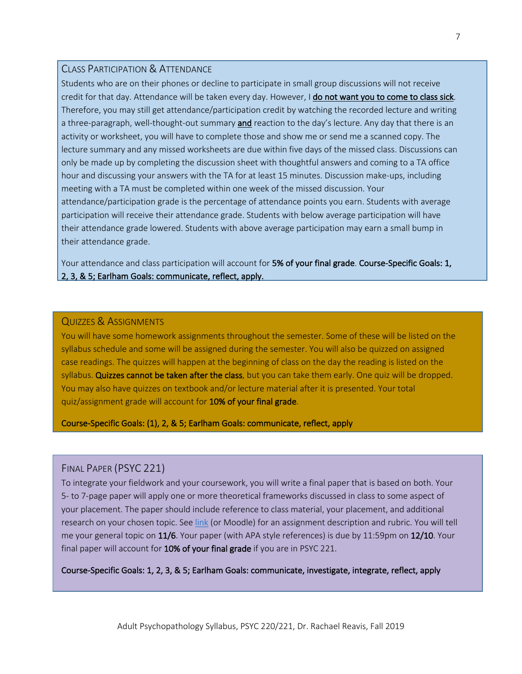### CLASS PARTICIPATION & ATTENDANCE

Students who are on their phones or decline to participate in small group discussions will not receive credit for that day. Attendance will be taken every day. However, I do not want you to come to class sick. Therefore, you may still get attendance/participation credit by watching the recorded lecture and writing a three-paragraph, well-thought-out summary and reaction to the day's lecture. Any day that there is an activity or worksheet, you will have to complete those and show me or send me a scanned copy. The lecture summary and any missed worksheets are due within five days of the missed class. Discussions can only be made up by completing the discussion sheet with thoughtful answers and coming to a TA office hour and discussing your answers with the TA for at least 15 minutes. Discussion make-ups, including meeting with a TA must be completed within one week of the missed discussion. Your attendance/participation grade is the percentage of attendance points you earn. Students with average participation will receive their attendance grade. Students with below average participation will have their attendance grade lowered. Students with above average participation may earn a small bump in their attendance grade.

7

Your attendance and class participation will account for 5% of your final grade. Course-Specific Goals: 1, 2, 3, & 5; Earlham Goals: communicate, reflect, apply.

#### QUIZZES & ASSIGNMENTS

You will have some homework assignments throughout the semester. Some of these will be listed on the syllabus schedule and some will be assigned during the semester. You will also be quizzed on assigned case readings. The quizzes will happen at the beginning of class on the day the reading is listed on the syllabus. Quizzes cannot be taken after the class, but you can take them early. One quiz will be dropped. You may also have quizzes on textbook and/or lecture material after it is presented. Your total quiz/assignment grade will account for 10% of your final grade.

Course-Specific Goals: (1), 2, & 5; Earlham Goals: communicate, reflect, apply

#### FINAL PAPER (PSYC 221)

To integrate your fieldwork and your coursework, you will write a final paper that is based on both. Your 5- to 7-page paper will apply one or more theoretical frameworks discussed in class to some aspect of your placement. The paper should include reference to class material, your placement, and additional research on your chosen topic. See link (or Moodle) for an assignment description and rubric. You will tell me your general topic on 11/6. Your paper (with APA style references) is due by 11:59pm on 12/10. Your final paper will account for 10% of your final grade if you are in PSYC 221.

Course-Specific Goals: 1, 2, 3, & 5; Earlham Goals: communicate, investigate, integrate, reflect, apply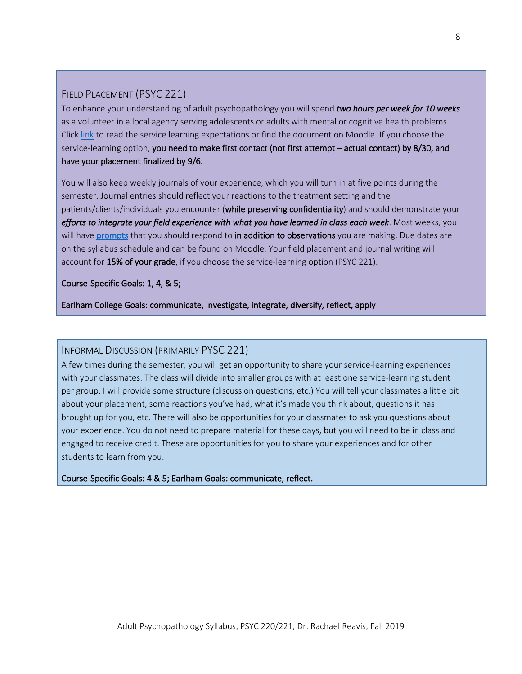# FIELD PLACEMENT (PSYC 221)

To enhance your understanding of adult psychopathology you will spend *two hours per week for 10 weeks* as a volunteer in a local agency serving adolescents or adults with mental or cognitive health problems. Click link to read the service learning expectations or find the document on Moodle. If you choose the service-learning option, you need to make first contact (not first attempt – actual contact) by 8/30, and have your placement finalized by 9/6.

You will also keep weekly journals of your experience, which you will turn in at five points during the semester. Journal entries should reflect your reactions to the treatment setting and the patients/clients/individuals you encounter (while preserving confidentiality) and should demonstrate your *efforts to integrate your field experience with what you have learned in class each week*. Most weeks, you will have prompts that you should respond to in addition to observations you are making. Due dates are on the syllabus schedule and can be found on Moodle. Your field placement and journal writing will account for 15% of your grade, if you choose the service-learning option (PSYC 221).

Course-Specific Goals: 1, 4, & 5;

Earlham College Goals: communicate, investigate, integrate, diversify, reflect, apply

## INFORMAL DISCUSSION (PRIMARILY PYSC 221)

A few times during the semester, you will get an opportunity to share your service-learning experiences with your classmates. The class will divide into smaller groups with at least one service-learning student per group. I will provide some structure (discussion questions, etc.) You will tell your classmates a little bit about your placement, some reactions you've had, what it's made you think about, questions it has brought up for you, etc. There will also be opportunities for your classmates to ask you questions about your experience. You do not need to prepare material for these days, but you will need to be in class and engaged to receive credit. These are opportunities for you to share your experiences and for other students to learn from you.

Course-Specific Goals: 4 & 5; Earlham Goals: communicate, reflect.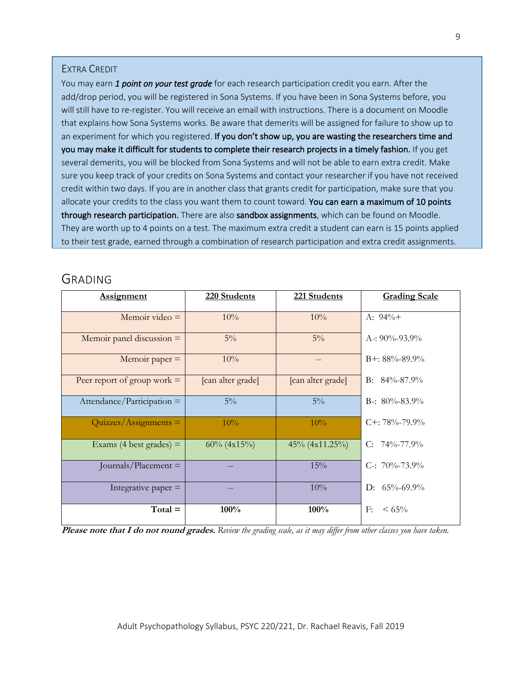#### EXTRA CREDIT

You may earn *1 point on your test grade* for each research participation credit you earn. After the add/drop period, you will be registered in Sona Systems. If you have been in Sona Systems before, you will still have to re-register. You will receive an email with instructions. There is a document on Moodle that explains how Sona Systems works. Be aware that demerits will be assigned for failure to show up to an experiment for which you registered. If you don't show up, you are wasting the researchers time and you may make it difficult for students to complete their research projects in a timely fashion. If you get several demerits, you will be blocked from Sona Systems and will not be able to earn extra credit. Make sure you keep track of your credits on Sona Systems and contact your researcher if you have not received credit within two days. If you are in another class that grants credit for participation, make sure that you allocate your credits to the class you want them to count toward. You can earn a maximum of 10 points through research participation. There are also sandbox assignments, which can be found on Moodle. They are worth up to 4 points on a test. The maximum extra credit a student can earn is 15 points applied to their test grade, earned through a combination of research participation and extra credit assignments.

# GRADING

| <b>Assignment</b>             | 220 Students      | 221 Students      | <b>Grading Scale</b> |
|-------------------------------|-------------------|-------------------|----------------------|
| Memoir video $=$              | 10%               | 10%               | A: $94\%+$           |
| Memoir panel discussion $=$   | $5\%$             | $5\%$             | A-: $90\% - 93.9\%$  |
| Memoir paper $=$              | 10%               |                   | $B_{+}$ : 88%-89.9%  |
| Peer report of group work $=$ | [can alter grade] | [can alter grade] | B: $84\% - 87.9\%$   |
| $Attendance/Participation =$  | $5\%$             | $5\%$             | B-: $80\% - 83.9\%$  |
| $Quizzes/Assigaments =$       | 10%               | 10%               | $C_{+}$ : 78%-79.9%  |
| Exams (4 best grades) $=$     | $60\%$ (4x15%)    | 45% (4x11.25%)    | C: $74\% - 77.9\%$   |
| Journals/Placement $=$        |                   | 15%               | C-: $70\% - 73.9\%$  |
| Integrative paper $=$         |                   | 10%               | D: $65\% - 69.9\%$   |
| $Total =$                     | 100%              | 100%              | F:<br>$\leq 65\%$    |

**Please note that I do not round grades.** *Review the grading scale, as it may differ from other classes you have taken.*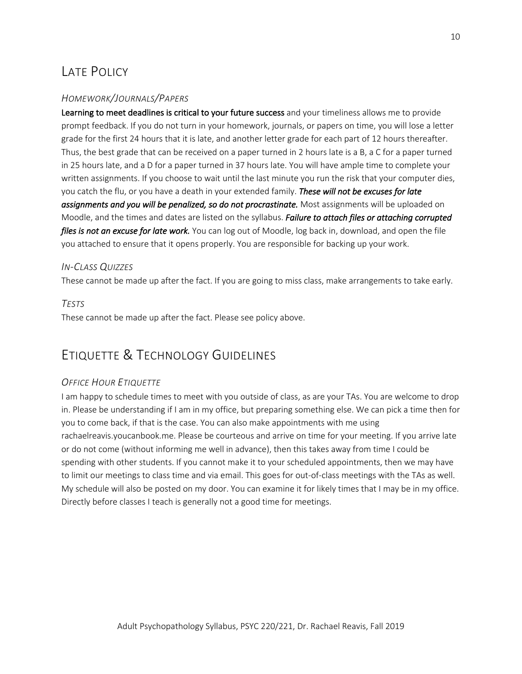# LATE POLICY

## *HOMEWORK/JOURNALS/PAPERS*

Learning to meet deadlines is critical to your future success and your timeliness allows me to provide prompt feedback. If you do not turn in your homework, journals, or papers on time, you will lose a letter grade for the first 24 hours that it is late, and another letter grade for each part of 12 hours thereafter. Thus, the best grade that can be received on a paper turned in 2 hours late is a B, a C for a paper turned in 25 hours late, and a D for a paper turned in 37 hours late. You will have ample time to complete your written assignments. If you choose to wait until the last minute you run the risk that your computer dies, you catch the flu, or you have a death in your extended family. *These will not be excuses for late assignments and you will be penalized, so do not procrastinate.* Most assignments will be uploaded on Moodle, and the times and dates are listed on the syllabus. *Failure to attach files or attaching corrupted files is not an excuse for late work.* You can log out of Moodle, log back in, download, and open the file you attached to ensure that it opens properly. You are responsible for backing up your work.

## *IN-CLASS QUIZZES*

These cannot be made up after the fact. If you are going to miss class, make arrangements to take early.

## *TESTS*

These cannot be made up after the fact. Please see policy above.

# ETIQUETTE & TECHNOLOGY GUIDELINES

## *OFFICE HOUR ETIQUETTE*

I am happy to schedule times to meet with you outside of class, as are your TAs. You are welcome to drop in. Please be understanding if I am in my office, but preparing something else. We can pick a time then for you to come back, if that is the case. You can also make appointments with me using rachaelreavis.youcanbook.me. Please be courteous and arrive on time for your meeting. If you arrive late or do not come (without informing me well in advance), then this takes away from time I could be spending with other students. If you cannot make it to your scheduled appointments, then we may have to limit our meetings to class time and via email. This goes for out-of-class meetings with the TAs as well. My schedule will also be posted on my door. You can examine it for likely times that I may be in my office. Directly before classes I teach is generally not a good time for meetings.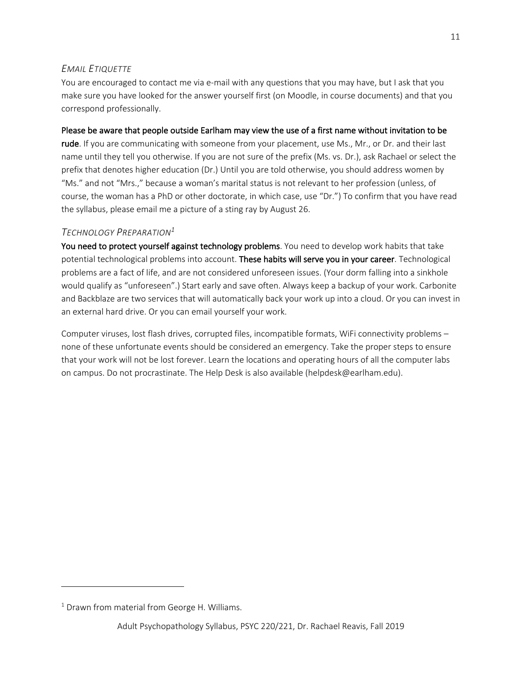## *EMAIL ETIQUETTE*

You are encouraged to contact me via e-mail with any questions that you may have, but I ask that you make sure you have looked for the answer yourself first (on Moodle, in course documents) and that you correspond professionally.

#### Please be aware that people outside Earlham may view the use of a first name without invitation to be

rude. If you are communicating with someone from your placement, use Ms., Mr., or Dr. and their last name until they tell you otherwise. If you are not sure of the prefix (Ms. vs. Dr.), ask Rachael or select the prefix that denotes higher education (Dr.) Until you are told otherwise, you should address women by "Ms." and not "Mrs.," because a woman's marital status is not relevant to her profession (unless, of course, the woman has a PhD or other doctorate, in which case, use "Dr.") To confirm that you have read the syllabus, please email me a picture of a sting ray by August 26.

## *TECHNOLOGY PREPARATION1*

You need to protect yourself against technology problems. You need to develop work habits that take potential technological problems into account. These habits will serve you in your career. Technological problems are a fact of life, and are not considered unforeseen issues. (Your dorm falling into a sinkhole would qualify as "unforeseen".) Start early and save often. Always keep a backup of your work. Carbonite and Backblaze are two services that will automatically back your work up into a cloud. Or you can invest in an external hard drive. Or you can email yourself your work.

Computer viruses, lost flash drives, corrupted files, incompatible formats, WiFi connectivity problems – none of these unfortunate events should be considered an emergency. Take the proper steps to ensure that your work will not be lost forever. Learn the locations and operating hours of all the computer labs on campus. Do not procrastinate. The Help Desk is also available (helpdesk@earlham.edu).

 $1$  Drawn from material from George H. Williams.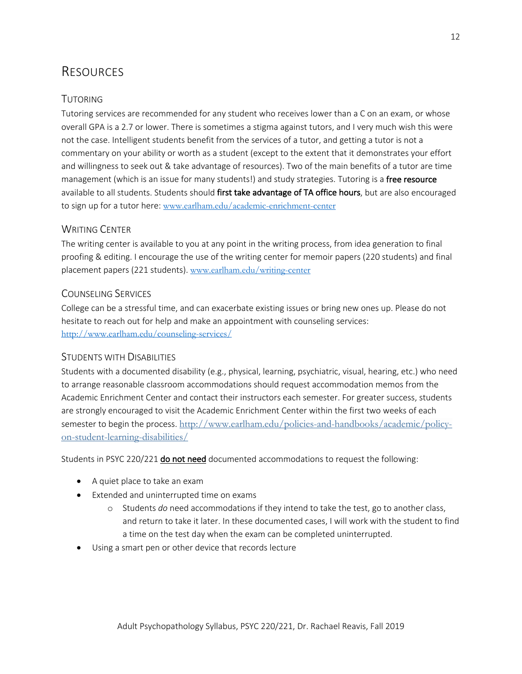# RESOURCES

## TUTORING

Tutoring services are recommended for any student who receives lower than a C on an exam, or whose overall GPA is a 2.7 or lower. There is sometimes a stigma against tutors, and I very much wish this were not the case. Intelligent students benefit from the services of a tutor, and getting a tutor is not a commentary on your ability or worth as a student (except to the extent that it demonstrates your effort and willingness to seek out & take advantage of resources). Two of the main benefits of a tutor are time management (which is an issue for many students!) and study strategies. Tutoring is a free resource available to all students. Students should first take advantage of TA office hours, but are also encouraged to sign up for a tutor here: www.earlham.edu/academic-enrichment-center

## WRITING CENTER

The writing center is available to you at any point in the writing process, from idea generation to final proofing & editing. I encourage the use of the writing center for memoir papers (220 students) and final placement papers (221 students). www.earlham.edu/writing-center

## COUNSELING SERVICES

College can be a stressful time, and can exacerbate existing issues or bring new ones up. Please do not hesitate to reach out for help and make an appointment with counseling services: http://www.earlham.edu/counseling-services/

## STUDENTS WITH DISABILITIES

Students with a documented disability (e.g., physical, learning, psychiatric, visual, hearing, etc.) who need to arrange reasonable classroom accommodations should request accommodation memos from the Academic Enrichment Center and contact their instructors each semester. For greater success, students are strongly encouraged to visit the Academic Enrichment Center within the first two weeks of each semester to begin the process. http://www.earlham.edu/policies-and-handbooks/academic/policyon-student-learning-disabilities/

Students in PSYC 220/221 do not need documented accommodations to request the following:

- A quiet place to take an exam
- Extended and uninterrupted time on exams
	- o Students *do* need accommodations if they intend to take the test, go to another class, and return to take it later. In these documented cases, I will work with the student to find a time on the test day when the exam can be completed uninterrupted.
- Using a smart pen or other device that records lecture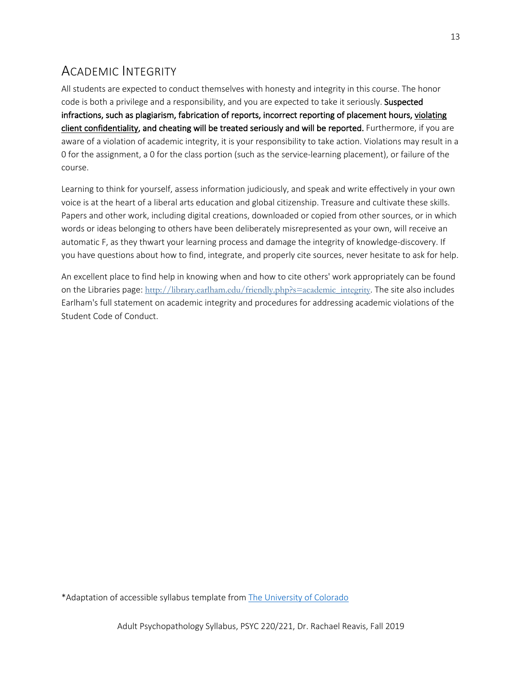# ACADEMIC INTEGRITY

All students are expected to conduct themselves with honesty and integrity in this course. The honor code is both a privilege and a responsibility, and you are expected to take it seriously. Suspected infractions, such as plagiarism, fabrication of reports, incorrect reporting of placement hours, violating client confidentiality, and cheating will be treated seriously and will be reported. Furthermore, if you are aware of a violation of academic integrity, it is your responsibility to take action. Violations may result in a 0 for the assignment, a 0 for the class portion (such as the service-learning placement), or failure of the course.

Learning to think for yourself, assess information judiciously, and speak and write effectively in your own voice is at the heart of a liberal arts education and global citizenship. Treasure and cultivate these skills. Papers and other work, including digital creations, downloaded or copied from other sources, or in which words or ideas belonging to others have been deliberately misrepresented as your own, will receive an automatic F, as they thwart your learning process and damage the integrity of knowledge-discovery. If you have questions about how to find, integrate, and properly cite sources, never hesitate to ask for help.

An excellent place to find help in knowing when and how to cite others' work appropriately can be found on the Libraries page: http://library.earlham.edu/friendly.php?s=academic\_integrity. The site also includes Earlham's full statement on academic integrity and procedures for addressing academic violations of the Student Code of Conduct.

\*Adaptation of accessible syllabus template from The University of Colorado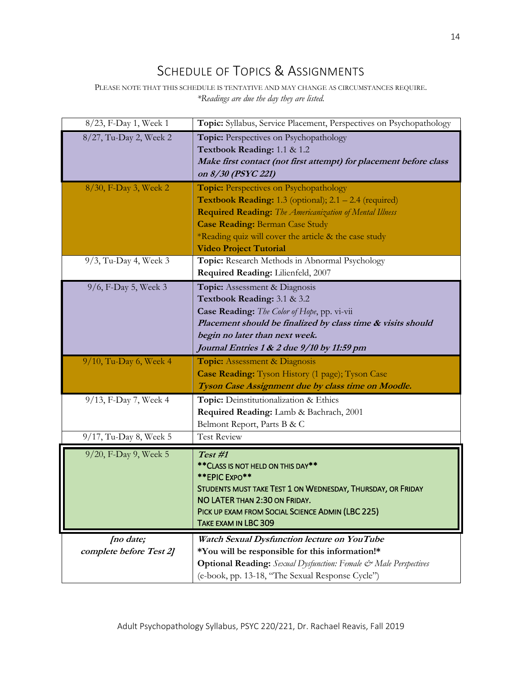# SCHEDULE OF TOPICS & ASSIGNMENTS

PLEASE NOTE THAT THIS SCHEDULE IS TENTATIVE AND MAY CHANGE AS CIRCUMSTANCES REQUIRE. *\*Readings are due the day they are listed.*

| 8/23, F-Day 1, Week 1                           | Topic: Syllabus, Service Placement, Perspectives on Psychopathology                                                                                                                                                                                                                                                    |
|-------------------------------------------------|------------------------------------------------------------------------------------------------------------------------------------------------------------------------------------------------------------------------------------------------------------------------------------------------------------------------|
| 8/27, Tu-Day 2, Week 2                          | Topic: Perspectives on Psychopathology<br>Textbook Reading: 1.1 & 1.2<br>Make first contact (not first attempt) for placement before class<br>on 8/30 (PSYC 221)                                                                                                                                                       |
| 8/30, F-Day 3, Week 2                           | <b>Topic: Perspectives on Psychopathology</b><br><b>Textbook Reading:</b> 1.3 (optional); $2.1 - 2.4$ (required)<br><b>Required Reading:</b> The Americanization of Mental Illness<br><b>Case Reading: Berman Case Study</b><br>*Reading quiz will cover the article & the case study<br><b>Video Project Tutorial</b> |
| $9/3$ , Tu-Day 4, Week 3                        | Topic: Research Methods in Abnormal Psychology<br>Required Reading: Lilienfeld, 2007                                                                                                                                                                                                                                   |
| 9/6, F-Day 5, Week 3                            | Topic: Assessment & Diagnosis<br>Textbook Reading: 3.1 & 3.2<br>Case Reading: The Color of Hope, pp. vi-vii<br>Placement should be finalized by class time & visits should<br>begin no later than next week.<br>Journal Entries 1 & 2 due 9/10 by 11:59 pm                                                             |
|                                                 |                                                                                                                                                                                                                                                                                                                        |
| 9/10, Tu-Day 6, Week 4                          | <b>Topic:</b> Assessment & Diagnosis<br>Case Reading: Tyson History (1 page); Tyson Case<br>Tyson Case Assignment due by class time on Moodle.                                                                                                                                                                         |
| 9/13, F-Day 7, Week 4<br>9/17, Tu-Day 8, Week 5 | Topic: Deinstitutionalization & Ethics<br>Required Reading: Lamb & Bachrach, 2001<br>Belmont Report, Parts B & C<br><b>Test Review</b>                                                                                                                                                                                 |
| 9/20, F-Day 9, Week 5                           | Test #1<br>** CLASS IS NOT HELD ON THIS DAY**<br>** EPIC EXPO**<br>STUDENTS MUST TAKE TEST 1 ON WEDNESDAY, THURSDAY, OR FRIDAY<br>NO LATER THAN 2:30 ON FRIDAY.<br>PICK UP EXAM FROM SOCIAL SCIENCE ADMIN (LBC 225)<br>TAKE EXAM IN LBC 309                                                                            |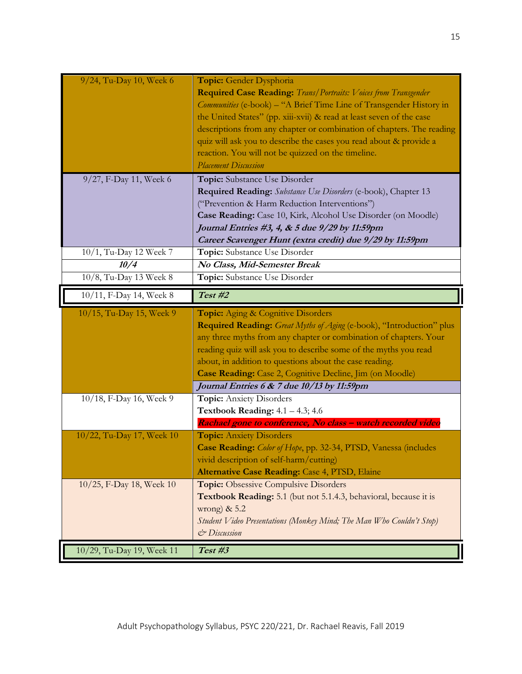| 9/24, Tu-Day 10, Week 6   | Topic: Gender Dysphoria<br>Required Case Reading: Trans/Portraits: Voices from Transgender<br>Communities (e-book) - "A Brief Time Line of Transgender History in<br>the United States" (pp. xiii-xvii) & read at least seven of the case |
|---------------------------|-------------------------------------------------------------------------------------------------------------------------------------------------------------------------------------------------------------------------------------------|
|                           | descriptions from any chapter or combination of chapters. The reading<br>quiz will ask you to describe the cases you read about & provide a                                                                                               |
|                           | reaction. You will not be quizzed on the timeline.                                                                                                                                                                                        |
|                           | <b>Placement Discussion</b>                                                                                                                                                                                                               |
| 9/27, F-Day 11, Week 6    | Topic: Substance Use Disorder                                                                                                                                                                                                             |
|                           | Required Reading: Substance Use Disorders (e-book), Chapter 13                                                                                                                                                                            |
|                           | ("Prevention & Harm Reduction Interventions")                                                                                                                                                                                             |
|                           | Case Reading: Case 10, Kirk, Alcohol Use Disorder (on Moodle)<br>Journal Entries #3, 4, & 5 due 9/29 by 11:59pm                                                                                                                           |
|                           | Career Scavenger Hunt (extra credit) due 9/29 by 11:59pm                                                                                                                                                                                  |
| 10/1, Tu-Day 12 Week 7    | Topic: Substance Use Disorder                                                                                                                                                                                                             |
| 10/4                      | No Class, Mid-Semester Break                                                                                                                                                                                                              |
| 10/8, Tu-Day 13 Week 8    | Topic: Substance Use Disorder                                                                                                                                                                                                             |
| 10/11, F-Day 14, Week 8   | Test #2                                                                                                                                                                                                                                   |
| 10/15, Tu-Day 15, Week 9  | Topic: Aging & Cognitive Disorders                                                                                                                                                                                                        |
|                           | Required Reading: Great Myths of Aging (e-book), "Introduction" plus                                                                                                                                                                      |
|                           | any three myths from any chapter or combination of chapters. Your                                                                                                                                                                         |
|                           | reading quiz will ask you to describe some of the myths you read                                                                                                                                                                          |
|                           | about, in addition to questions about the case reading.                                                                                                                                                                                   |
|                           | Case Reading: Case 2, Cognitive Decline, Jim (on Moodle)                                                                                                                                                                                  |
|                           | Journal Entries 6 & 7 due 10/13 by 11:59pm                                                                                                                                                                                                |
| 10/18, F-Day 16, Week 9   |                                                                                                                                                                                                                                           |
|                           | <b>Topic:</b> Anxiety Disorders                                                                                                                                                                                                           |
|                           | Textbook Reading: $4.1 - 4.3$ ; $4.6$                                                                                                                                                                                                     |
|                           | Rachael gone to conference, No class - watch recorded video                                                                                                                                                                               |
| 10/22, Tu-Day 17, Week 10 | <b>Topic:</b> Anxiety Disorders                                                                                                                                                                                                           |
|                           | Case Reading: Color of Hope, pp. 32-34, PTSD, Vanessa (includes                                                                                                                                                                           |
|                           | vivid description of self-harm/cutting)                                                                                                                                                                                                   |
| 10/25, F-Day 18, Week 10  | Alternative Case Reading: Case 4, PTSD, Elaine<br><b>Topic:</b> Obsessive Compulsive Disorders                                                                                                                                            |
|                           | Textbook Reading: 5.1 (but not 5.1.4.3, behavioral, because it is                                                                                                                                                                         |
|                           | wrong) $& 5.2$                                                                                                                                                                                                                            |
|                           | Student Video Presentations (Monkey Mind; The Man Who Couldn't Stop)                                                                                                                                                                      |
|                           | & Discussion                                                                                                                                                                                                                              |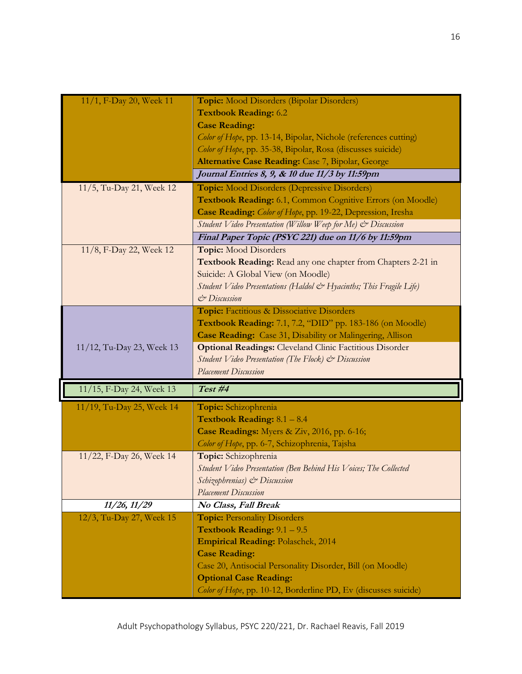| 11/1, F-Day 20, Week 11   | Topic: Mood Disorders (Bipolar Disorders)                                                        |
|---------------------------|--------------------------------------------------------------------------------------------------|
|                           | <b>Textbook Reading: 6.2</b>                                                                     |
|                           | <b>Case Reading:</b>                                                                             |
|                           | Color of Hope, pp. 13-14, Bipolar, Nichole (references cutting)                                  |
|                           | Color of Hope, pp. 35-38, Bipolar, Rosa (discusses suicide)                                      |
|                           | Alternative Case Reading: Case 7, Bipolar, George                                                |
|                           | Journal Entries 8, 9, & 10 due 11/3 by 11:59pm                                                   |
| 11/5, Tu-Day 21, Week 12  | <b>Topic:</b> Mood Disorders (Depressive Disorders)                                              |
|                           | Textbook Reading: 6.1, Common Cognitive Errors (on Moodle)                                       |
|                           | Case Reading: Color of Hope, pp. 19-22, Depression, Iresha                                       |
|                           | Student Video Presentation (Willow Weep for Me) & Discussion                                     |
|                           | Final Paper Topic (PSYC 221) due on 11/6 by 11:59pm                                              |
| 11/8, F-Day 22, Week 12   | <b>Topic:</b> Mood Disorders                                                                     |
|                           | Textbook Reading: Read any one chapter from Chapters 2-21 in                                     |
|                           | Suicide: A Global View (on Moodle)                                                               |
|                           | Student Video Presentations (Haldol & Hyacinths; This Fragile Life)                              |
|                           | $\dot{\mathcal{C}}$ Discussion                                                                   |
|                           | Topic: Factitious & Dissociative Disorders                                                       |
|                           | Textbook Reading: 7.1, 7.2, "DID" pp. 183-186 (on Moodle)                                        |
|                           | Case Reading: Case 31, Disability or Malingering, Allison                                        |
|                           |                                                                                                  |
| 11/12, Tu-Day 23, Week 13 | <b>Optional Readings:</b> Cleveland Clinic Factitious Disorder                                   |
|                           | Student Video Presentation (The Flock) & Discussion                                              |
|                           | <b>Placement Discussion</b>                                                                      |
| 11/15, F-Day 24, Week 13  | Test#4                                                                                           |
| 11/19, Tu-Day 25, Week 14 | Topic: Schizophrenia                                                                             |
|                           | <b>Textbook Reading:</b> $8.1 - 8.4$                                                             |
|                           | Case Readings: Myers & Ziv, 2016, pp. 6-16;                                                      |
|                           | Color of Hope, pp. 6-7, Schizophrenia, Tajsha                                                    |
| 11/22, F-Day 26, Week 14  | Topic: Schizophrenia                                                                             |
|                           | Student Video Presentation (Ben Behind His Voices; The Collected                                 |
|                           | Schizophrenias) & Discussion                                                                     |
|                           | <b>Placement Discussion</b>                                                                      |
| 11/26, 11/29              | No Class, Fall Break                                                                             |
| 12/3, Tu-Day 27, Week 15  | <b>Topic: Personality Disorders</b>                                                              |
|                           | <b>Textbook Reading:</b> $9.1 - 9.5$                                                             |
|                           | <b>Empirical Reading: Polaschek, 2014</b>                                                        |
|                           | <b>Case Reading:</b>                                                                             |
|                           | Case 20, Antisocial Personality Disorder, Bill (on Moodle)                                       |
|                           | <b>Optional Case Reading:</b><br>Color of Hope, pp. 10-12, Borderline PD, Ev (discusses suicide) |